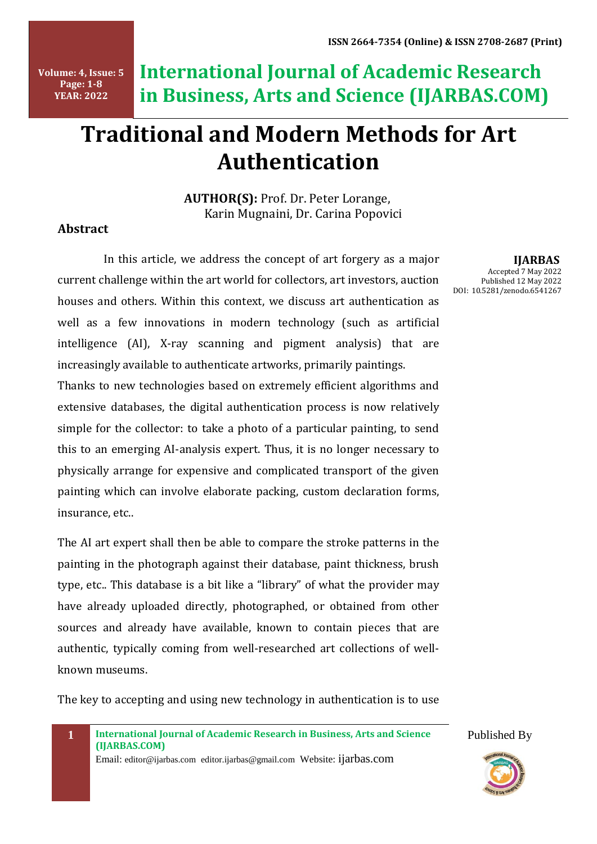**Volume: 4, Issue: 5 Page: 1-8 YEAR: 2022**

**International Journal of Academic Research in Business, Arts and Science (IJARBAS.COM)**

# **Traditional and Modern Methods for Art Authentication**

 **AUTHOR(S):** Prof. Dr. Peter Lorange, Karin Mugnaini, Dr. Carina Popovici

### **Abstract**

In this article, we address the concept of art forgery as a major current challenge within the art world for collectors, art investors, auction houses and others. Within this context, we discuss art authentication as well as a few innovations in modern technology (such as artificial intelligence (AI), X-ray scanning and pigment analysis) that are increasingly available to authenticate artworks, primarily paintings.

Thanks to new technologies based on extremely efficient algorithms and extensive databases, the digital authentication process is now relatively simple for the collector: to take a photo of a particular painting, to send this to an emerging AI-analysis expert. Thus, it is no longer necessary to physically arrange for expensive and complicated transport of the given painting which can involve elaborate packing, custom declaration forms, insurance, etc..

The AI art expert shall then be able to compare the stroke patterns in the painting in the photograph against their database, paint thickness, brush type, etc.. This database is a bit like a "library" of what the provider may have already uploaded directly, photographed, or obtained from other sources and already have available, known to contain pieces that are authentic, typically coming from well-researched art collections of wellknown museums.

The key to accepting and using new technology in authentication is to use



Email: editor@ijarbas.com editor.ijarbas@gmail.com Website: ijarbas.com

 **IJARBAS** Accepted 7 May 2022 Published 12 May 2022 DOI: 10.5281/zenodo.6541267

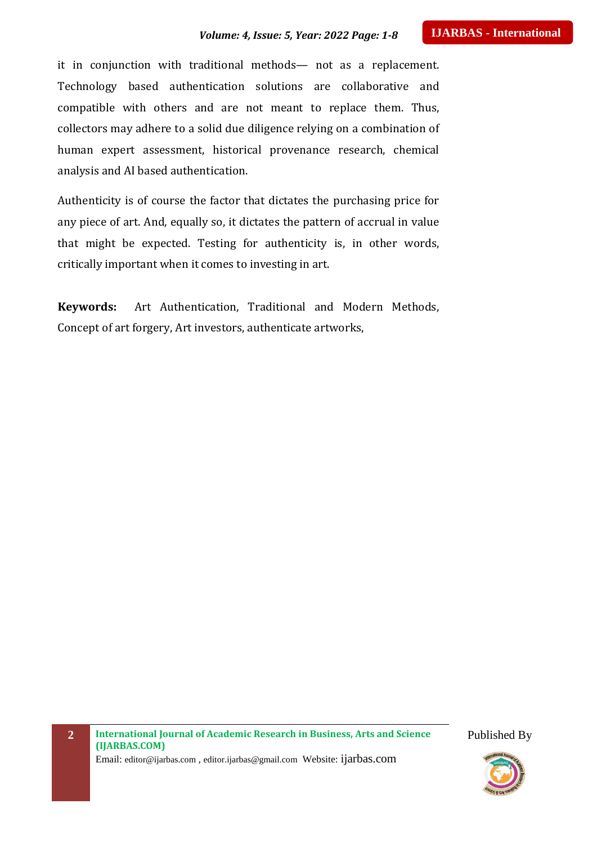#### *Volume: 4, Issue: 5, Year: 2022 Page: 1-8*

it in conjunction with traditional methods— not as a replacement. Technology based authentication solutions are collaborative and compatible with others and are not meant to replace them. Thus, collectors may adhere to a solid due diligence relying on a combination of human expert assessment, historical provenance research, chemical analysis and AI based authentication.

Authenticity is of course the factor that dictates the purchasing price for any piece of art. And, equally so, it dictates the pattern of accrual in value that might be expected. Testing for authenticity is, in other words, critically important when it comes to investing in art.

**Keywords:** Art Authentication, Traditional and Modern Methods, Concept of art forgery, Art investors, authenticate artworks,

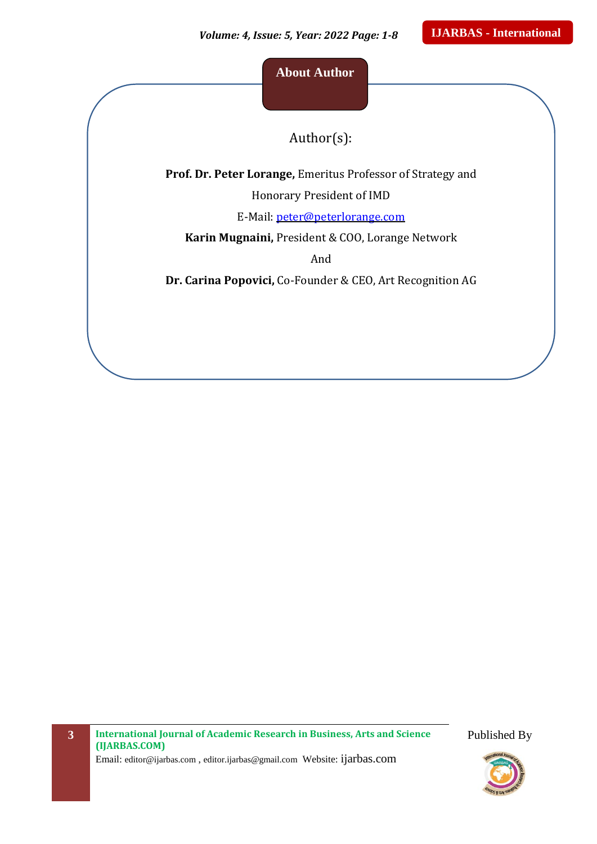**About Author**

Author(s):

**Prof. Dr. Peter Lorange,** Emeritus Professor of Strategy and

Honorary President of IMD

E-Mail: [peter@peterlorange.com](mailto:peter@peterlorange.com)

**Karin Mugnaini,** President & COO, Lorange Network

And

**Dr. Carina Popovici,** Co-Founder & CEO, Art Recognition AG

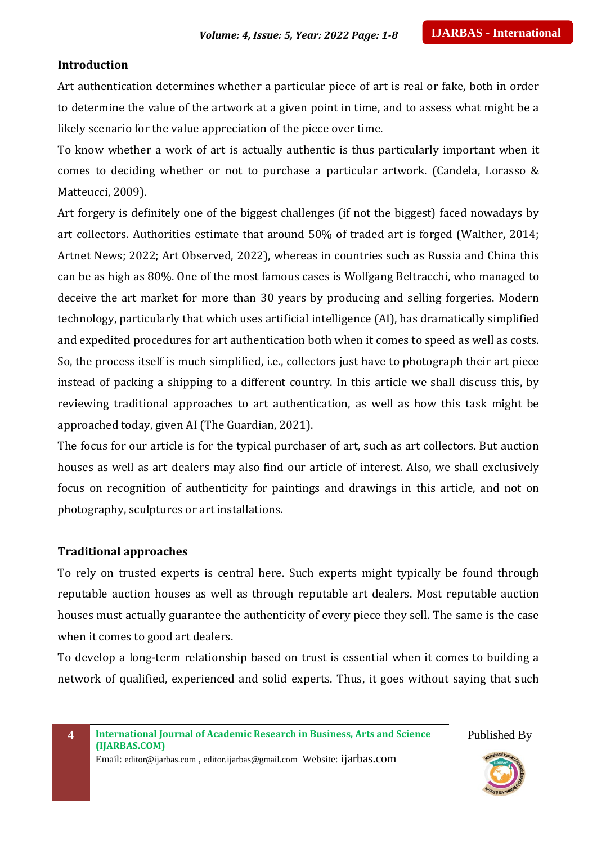#### **Introduction**

Art authentication determines whether a particular piece of art is real or fake, both in order to determine the value of the artwork at a given point in time, and to assess what might be a likely scenario for the value appreciation of the piece over time.

To know whether a work of art is actually authentic is thus particularly important when it comes to deciding whether or not to purchase a particular artwork. (Candela, Lorasso & Matteucci, 2009).

Art forgery is definitely one of the biggest challenges (if not the biggest) faced nowadays by art collectors. Authorities estimate that around 50% of traded art is forged (Walther, 2014; Artnet News; 2022; Art Observed, 2022), whereas in countries such as Russia and China this can be as high as 80%. One of the most famous cases is Wolfgang Beltracchi, who managed to deceive the art market for more than 30 years by producing and selling forgeries. Modern technology, particularly that which uses artificial intelligence (AI), has dramatically simplified and expedited procedures for art authentication both when it comes to speed as well as costs. So, the process itself is much simplified, i.e., collectors just have to photograph their art piece instead of packing a shipping to a different country. In this article we shall discuss this, by reviewing traditional approaches to art authentication, as well as how this task might be approached today, given AI (The Guardian, 2021).

The focus for our article is for the typical purchaser of art, such as art collectors. But auction houses as well as art dealers may also find our article of interest. Also, we shall exclusively focus on recognition of authenticity for paintings and drawings in this article, and not on photography, sculptures or art installations.

#### **Traditional approaches**

To rely on trusted experts is central here. Such experts might typically be found through reputable auction houses as well as through reputable art dealers. Most reputable auction houses must actually guarantee the authenticity of every piece they sell. The same is the case when it comes to good art dealers.

To develop a long-term relationship based on trust is essential when it comes to building a network of qualified, experienced and solid experts. Thus, it goes without saying that such

**4 International Journal of Academic Research in Business, Arts and Science (IJARBAS.COM)** Email: editor@ijarbas.com , editor.ijarbas@gmail.com Website: ijarbas.com

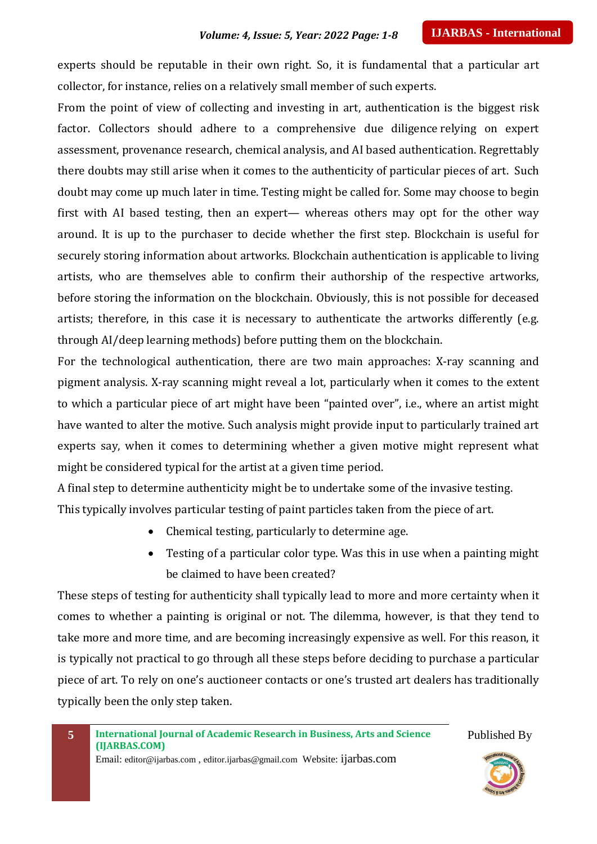experts should be reputable in their own right. So, it is fundamental that a particular art collector, for instance, relies on a relatively small member of such experts.

From the point of view of collecting and investing in art, authentication is the biggest risk factor. Collectors should adhere to a comprehensive due diligence relying on expert assessment, provenance research, chemical analysis, and AI based authentication. Regrettably there doubts may still arise when it comes to the authenticity of particular pieces of art. Such doubt may come up much later in time. Testing might be called for. Some may choose to begin first with AI based testing, then an expert— whereas others may opt for the other way around. It is up to the purchaser to decide whether the first step. Blockchain is useful for securely storing information about artworks. Blockchain authentication is applicable to living artists, who are themselves able to confirm their authorship of the respective artworks, before storing the information on the blockchain. Obviously, this is not possible for deceased artists; therefore, in this case it is necessary to authenticate the artworks differently (e.g. through AI/deep learning methods) before putting them on the blockchain.

For the technological authentication, there are two main approaches: X-ray scanning and pigment analysis. X-ray scanning might reveal a lot, particularly when it comes to the extent to which a particular piece of art might have been "painted over", i.e., where an artist might have wanted to alter the motive. Such analysis might provide input to particularly trained art experts say, when it comes to determining whether a given motive might represent what might be considered typical for the artist at a given time period.

A final step to determine authenticity might be to undertake some of the invasive testing. This typically involves particular testing of paint particles taken from the piece of art.

- Chemical testing, particularly to determine age.
- Testing of a particular color type. Was this in use when a painting might be claimed to have been created?

These steps of testing for authenticity shall typically lead to more and more certainty when it comes to whether a painting is original or not. The dilemma, however, is that they tend to take more and more time, and are becoming increasingly expensive as well. For this reason, it is typically not practical to go through all these steps before deciding to purchase a particular piece of art. To rely on one's auctioneer contacts or one's trusted art dealers has traditionally typically been the only step taken.

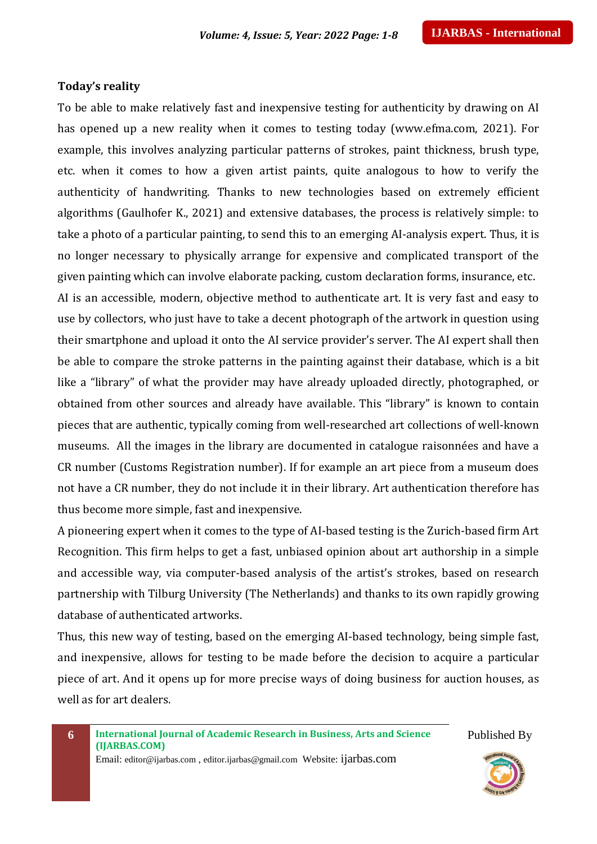#### **Today's reality**

To be able to make relatively fast and inexpensive testing for authenticity by drawing on AI has opened up a new reality when it comes to testing today (www.efma.com, 2021). For example, this involves analyzing particular patterns of strokes, paint thickness, brush type, etc. when it comes to how a given artist paints, quite analogous to how to verify the authenticity of handwriting. Thanks to new technologies based on extremely efficient algorithms (Gaulhofer K., 2021) and extensive databases, the process is relatively simple: to take a photo of a particular painting, to send this to an emerging AI-analysis expert. Thus, it is no longer necessary to physically arrange for expensive and complicated transport of the given painting which can involve elaborate packing, custom declaration forms, insurance, etc. AI is an accessible, modern, objective method to authenticate art. It is very fast and easy to use by collectors, who just have to take a decent photograph of the artwork in question using their smartphone and upload it onto the AI service provider's server. The AI expert shall then be able to compare the stroke patterns in the painting against their database, which is a bit like a "library" of what the provider may have already uploaded directly, photographed, or obtained from other sources and already have available. This "library" is known to contain pieces that are authentic, typically coming from well-researched art collections of well-known

museums. All the images in the library are documented in catalogue raisonnées and have a CR number (Customs Registration number). If for example an art piece from a museum does not have a CR number, they do not include it in their library. Art authentication therefore has thus become more simple, fast and inexpensive.

A pioneering expert when it comes to the type of AI-based testing is the Zurich-based firm Art Recognition. This firm helps to get a fast, unbiased opinion about art authorship in a simple and accessible way, via computer-based analysis of the artist's strokes, based on research partnership with Tilburg University (The Netherlands) and thanks to its own rapidly growing database of authenticated artworks.

Thus, this new way of testing, based on the emerging AI-based technology, being simple fast, and inexpensive, allows for testing to be made before the decision to acquire a particular piece of art. And it opens up for more precise ways of doing business for auction houses, as well as for art dealers.

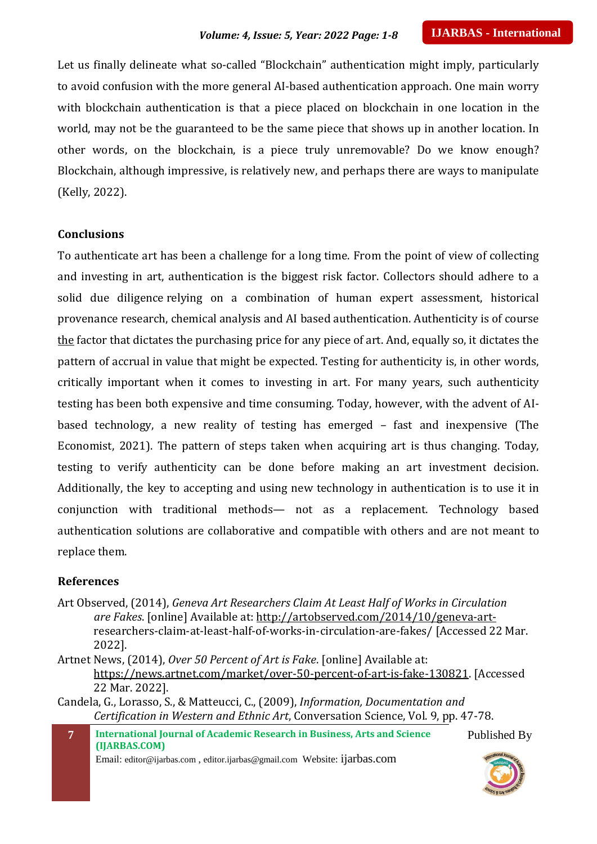Let us finally delineate what so-called "Blockchain" authentication might imply, particularly to avoid confusion with the more general AI-based authentication approach. One main worry with blockchain authentication is that a piece placed on blockchain in one location in the world, may not be the guaranteed to be the same piece that shows up in another location. In other words, on the blockchain, is a piece truly unremovable? Do we know enough? Blockchain, although impressive, is relatively new, and perhaps there are ways to manipulate (Kelly, 2022).

#### **Conclusions**

To authenticate art has been a challenge for a long time. From the point of view of collecting and investing in art, authentication is the biggest risk factor. Collectors should adhere to a solid due diligence relying on a combination of human expert assessment, historical provenance research, chemical analysis and AI based authentication. Authenticity is of course the factor that dictates the purchasing price for any piece of art. And, equally so, it dictates the pattern of accrual in value that might be expected. Testing for authenticity is, in other words, critically important when it comes to investing in art. For many years, such authenticity testing has been both expensive and time consuming. Today, however, with the advent of AIbased technology, a new reality of testing has emerged – fast and inexpensive (The Economist, 2021). The pattern of steps taken when acquiring art is thus changing. Today, testing to verify authenticity can be done before making an art investment decision. Additionally, the key to accepting and using new technology in authentication is to use it in conjunction with traditional methods— not as a replacement. Technology based authentication solutions are collaborative and compatible with others and are not meant to replace them.

#### **References**

Art Observed, (2014), *Geneva Art Researchers Claim At Least Half of Works in Circulation are Fakes*. [online] Available at: [http://artobserved.com/2014/10/geneva-art](http://artobserved.com/2014/10/geneva-art-)researchers-claim-at-least-half-of-works-in-circulation-are-fakes/ [Accessed 22 Mar. 2022].

Artnet News, (2014), *Over 50 Percent of Art is Fake*. [online] Available at: [https://news.artnet.com/market/over-50-percent-of-art-is-fake-130821.](https://news.artnet.com/market/over-50-percent-of-art-is-fake-130821) [Accessed 22 Mar. 2022].

Candela, G., Lorasso, S., & Matteucci, C., (2009), *Information, Documentation and Certification in Western and Ethnic Art*, Conversation Science, Vol. 9, pp. 47-78.

**7 International Journal of Academic Research in Business, Arts and Science (IJARBAS.COM)** Email: editor@ijarbas.com , editor.ijarbas@gmail.com Website: ijarbas.com Published By